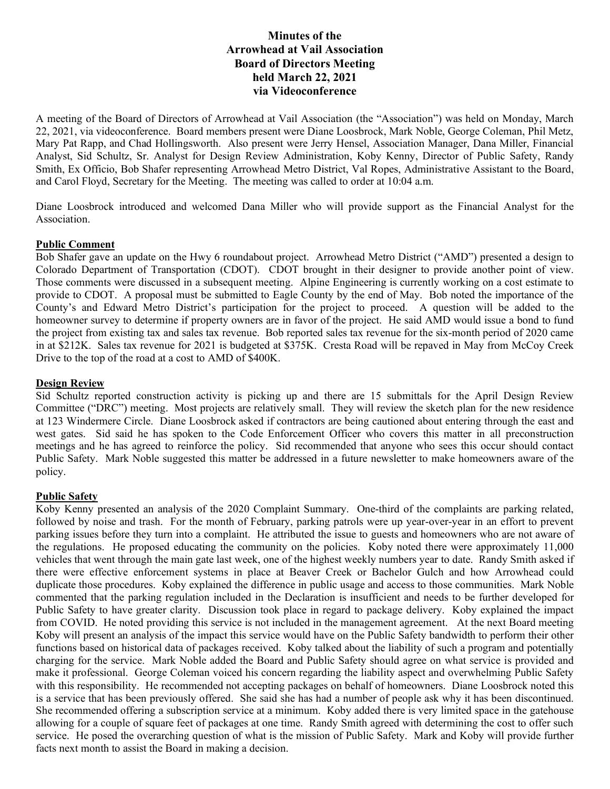# **Minutes of the Arrowhead at Vail Association Board of Directors Meeting held March 22, 2021 via Videoconference**

A meeting of the Board of Directors of Arrowhead at Vail Association (the "Association") was held on Monday, March 22, 2021, via videoconference. Board members present were Diane Loosbrock, Mark Noble, George Coleman, Phil Metz, Mary Pat Rapp, and Chad Hollingsworth. Also present were Jerry Hensel, Association Manager, Dana Miller, Financial Analyst, Sid Schultz, Sr. Analyst for Design Review Administration, Koby Kenny, Director of Public Safety, Randy Smith, Ex Officio, Bob Shafer representing Arrowhead Metro District, Val Ropes, Administrative Assistant to the Board, and Carol Floyd, Secretary for the Meeting. The meeting was called to order at 10:04 a.m.

Diane Loosbrock introduced and welcomed Dana Miller who will provide support as the Financial Analyst for the Association.

#### **Public Comment**

Bob Shafer gave an update on the Hwy 6 roundabout project. Arrowhead Metro District ("AMD") presented a design to Colorado Department of Transportation (CDOT). CDOT brought in their designer to provide another point of view. Those comments were discussed in a subsequent meeting. Alpine Engineering is currently working on a cost estimate to provide to CDOT. A proposal must be submitted to Eagle County by the end of May. Bob noted the importance of the County's and Edward Metro District's participation for the project to proceed. A question will be added to the homeowner survey to determine if property owners are in favor of the project. He said AMD would issue a bond to fund the project from existing tax and sales tax revenue. Bob reported sales tax revenue for the six-month period of 2020 came in at \$212K. Sales tax revenue for 2021 is budgeted at \$375K. Cresta Road will be repaved in May from McCoy Creek Drive to the top of the road at a cost to AMD of \$400K.

## **Design Review**

Sid Schultz reported construction activity is picking up and there are 15 submittals for the April Design Review Committee ("DRC") meeting. Most projects are relatively small. They will review the sketch plan for the new residence at 123 Windermere Circle. Diane Loosbrock asked if contractors are being cautioned about entering through the east and west gates. Sid said he has spoken to the Code Enforcement Officer who covers this matter in all preconstruction meetings and he has agreed to reinforce the policy. Sid recommended that anyone who sees this occur should contact Public Safety. Mark Noble suggested this matter be addressed in a future newsletter to make homeowners aware of the policy.

## **Public Safety**

Koby Kenny presented an analysis of the 2020 Complaint Summary. One-third of the complaints are parking related, followed by noise and trash. For the month of February, parking patrols were up year-over-year in an effort to prevent parking issues before they turn into a complaint. He attributed the issue to guests and homeowners who are not aware of the regulations. He proposed educating the community on the policies. Koby noted there were approximately 11,000 vehicles that went through the main gate last week, one of the highest weekly numbers year to date. Randy Smith asked if there were effective enforcement systems in place at Beaver Creek or Bachelor Gulch and how Arrowhead could duplicate those procedures. Koby explained the difference in public usage and access to those communities. Mark Noble commented that the parking regulation included in the Declaration is insufficient and needs to be further developed for Public Safety to have greater clarity. Discussion took place in regard to package delivery. Koby explained the impact from COVID. He noted providing this service is not included in the management agreement. At the next Board meeting Koby will present an analysis of the impact this service would have on the Public Safety bandwidth to perform their other functions based on historical data of packages received. Koby talked about the liability of such a program and potentially charging for the service. Mark Noble added the Board and Public Safety should agree on what service is provided and make it professional. George Coleman voiced his concern regarding the liability aspect and overwhelming Public Safety with this responsibility. He recommended not accepting packages on behalf of homeowners. Diane Loosbrock noted this is a service that has been previously offered. She said she has had a number of people ask why it has been discontinued. She recommended offering a subscription service at a minimum. Koby added there is very limited space in the gatehouse allowing for a couple of square feet of packages at one time. Randy Smith agreed with determining the cost to offer such service. He posed the overarching question of what is the mission of Public Safety. Mark and Koby will provide further facts next month to assist the Board in making a decision.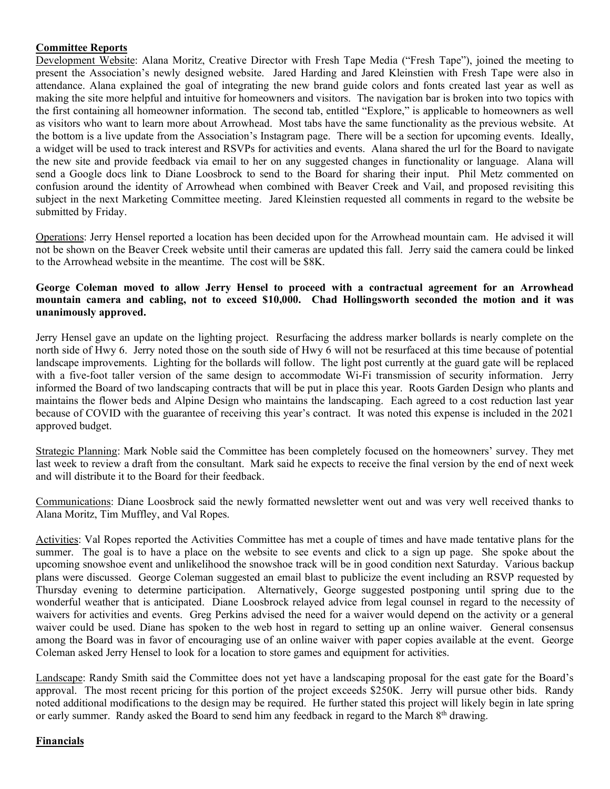# **Committee Reports**

Development Website: Alana Moritz, Creative Director with Fresh Tape Media ("Fresh Tape"), joined the meeting to present the Association's newly designed website. Jared Harding and Jared Kleinstien with Fresh Tape were also in attendance. Alana explained the goal of integrating the new brand guide colors and fonts created last year as well as making the site more helpful and intuitive for homeowners and visitors. The navigation bar is broken into two topics with the first containing all homeowner information. The second tab, entitled "Explore," is applicable to homeowners as well as visitors who want to learn more about Arrowhead. Most tabs have the same functionality as the previous website. At the bottom is a live update from the Association's Instagram page. There will be a section for upcoming events. Ideally, a widget will be used to track interest and RSVPs for activities and events. Alana shared the url for the Board to navigate the new site and provide feedback via email to her on any suggested changes in functionality or language. Alana will send a Google docs link to Diane Loosbrock to send to the Board for sharing their input. Phil Metz commented on confusion around the identity of Arrowhead when combined with Beaver Creek and Vail, and proposed revisiting this subject in the next Marketing Committee meeting. Jared Kleinstien requested all comments in regard to the website be submitted by Friday.

Operations: Jerry Hensel reported a location has been decided upon for the Arrowhead mountain cam. He advised it will not be shown on the Beaver Creek website until their cameras are updated this fall. Jerry said the camera could be linked to the Arrowhead website in the meantime. The cost will be \$8K.

# **George Coleman moved to allow Jerry Hensel to proceed with a contractual agreement for an Arrowhead mountain camera and cabling, not to exceed \$10,000. Chad Hollingsworth seconded the motion and it was unanimously approved.**

Jerry Hensel gave an update on the lighting project. Resurfacing the address marker bollards is nearly complete on the north side of Hwy 6. Jerry noted those on the south side of Hwy 6 will not be resurfaced at this time because of potential landscape improvements. Lighting for the bollards will follow. The light post currently at the guard gate will be replaced with a five-foot taller version of the same design to accommodate Wi-Fi transmission of security information. Jerry informed the Board of two landscaping contracts that will be put in place this year. Roots Garden Design who plants and maintains the flower beds and Alpine Design who maintains the landscaping. Each agreed to a cost reduction last year because of COVID with the guarantee of receiving this year's contract. It was noted this expense is included in the 2021 approved budget.

Strategic Planning: Mark Noble said the Committee has been completely focused on the homeowners' survey. They met last week to review a draft from the consultant. Mark said he expects to receive the final version by the end of next week and will distribute it to the Board for their feedback.

Communications: Diane Loosbrock said the newly formatted newsletter went out and was very well received thanks to Alana Moritz, Tim Muffley, and Val Ropes.

Activities: Val Ropes reported the Activities Committee has met a couple of times and have made tentative plans for the summer. The goal is to have a place on the website to see events and click to a sign up page. She spoke about the upcoming snowshoe event and unlikelihood the snowshoe track will be in good condition next Saturday. Various backup plans were discussed. George Coleman suggested an email blast to publicize the event including an RSVP requested by Thursday evening to determine participation. Alternatively, George suggested postponing until spring due to the wonderful weather that is anticipated. Diane Loosbrock relayed advice from legal counsel in regard to the necessity of waivers for activities and events. Greg Perkins advised the need for a waiver would depend on the activity or a general waiver could be used. Diane has spoken to the web host in regard to setting up an online waiver. General consensus among the Board was in favor of encouraging use of an online waiver with paper copies available at the event. George Coleman asked Jerry Hensel to look for a location to store games and equipment for activities.

Landscape: Randy Smith said the Committee does not yet have a landscaping proposal for the east gate for the Board's approval. The most recent pricing for this portion of the project exceeds \$250K. Jerry will pursue other bids. Randy noted additional modifications to the design may be required. He further stated this project will likely begin in late spring or early summer. Randy asked the Board to send him any feedback in regard to the March 8<sup>th</sup> drawing.

## **Financials**